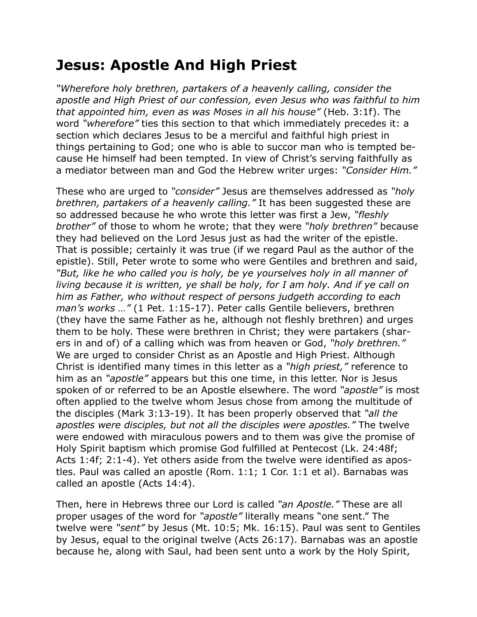## **Jesus: Apostle And High Priest**

*"Wherefore holy brethren, partakers of a heavenly calling, consider the apostle and High Priest of our confession, even Jesus who was faithful to him that appointed him, even as was Moses in all his house"* (Heb. 3:1f). The word *"wherefore"* ties this section to that which immediately precedes it: a section which declares Jesus to be a merciful and faithful high priest in things pertaining to God; one who is able to succor man who is tempted because He himself had been tempted. In view of Christ's serving faithfully as a mediator between man and God the Hebrew writer urges: *"Consider Him."*

These who are urged to *"consider"* Jesus are themselves addressed as *"holy brethren, partakers of a heavenly calling."* It has been suggested these are so addressed because he who wrote this letter was first a Jew, *"fleshly brother"* of those to whom he wrote; that they were *"holy brethren"* because they had believed on the Lord Jesus just as had the writer of the epistle. That is possible; certainly it was true (if we regard Paul as the author of the epistle). Still, Peter wrote to some who were Gentiles and brethren and said, *"But, like he who called you is holy, be ye yourselves holy in all manner of living because it is written, ye shall be holy, for I am holy. And if ye call on him as Father, who without respect of persons judgeth according to each man's works …"* (1 Pet. 1:15-17). Peter calls Gentile believers, brethren (they have the same Father as he, although not fleshly brethren) and urges them to be holy. These were brethren in Christ; they were partakers (sharers in and of) of a calling which was from heaven or God, *"holy brethren."* We are urged to consider Christ as an Apostle and High Priest. Although Christ is identified many times in this letter as a *"high priest,"* reference to him as an *"apostle"* appears but this one time, in this letter. Nor is Jesus spoken of or referred to be an Apostle elsewhere. The word *"apostle"* is most often applied to the twelve whom Jesus chose from among the multitude of the disciples (Mark 3:13-19). It has been properly observed that *"all the apostles were disciples, but not all the disciples were apostles."* The twelve were endowed with miraculous powers and to them was give the promise of Holy Spirit baptism which promise God fulfilled at Pentecost (Lk. 24:48f; Acts 1:4f; 2:1-4). Yet others aside from the twelve were identified as apostles. Paul was called an apostle (Rom. 1:1; 1 Cor. 1:1 et al). Barnabas was called an apostle (Acts 14:4).

Then, here in Hebrews three our Lord is called *"an Apostle."* These are all proper usages of the word for *"apostle"* literally means "one sent." The twelve were *"sent"* by Jesus (Mt. 10:5; Mk. 16:15). Paul was sent to Gentiles by Jesus, equal to the original twelve (Acts 26:17). Barnabas was an apostle because he, along with Saul, had been sent unto a work by the Holy Spirit,